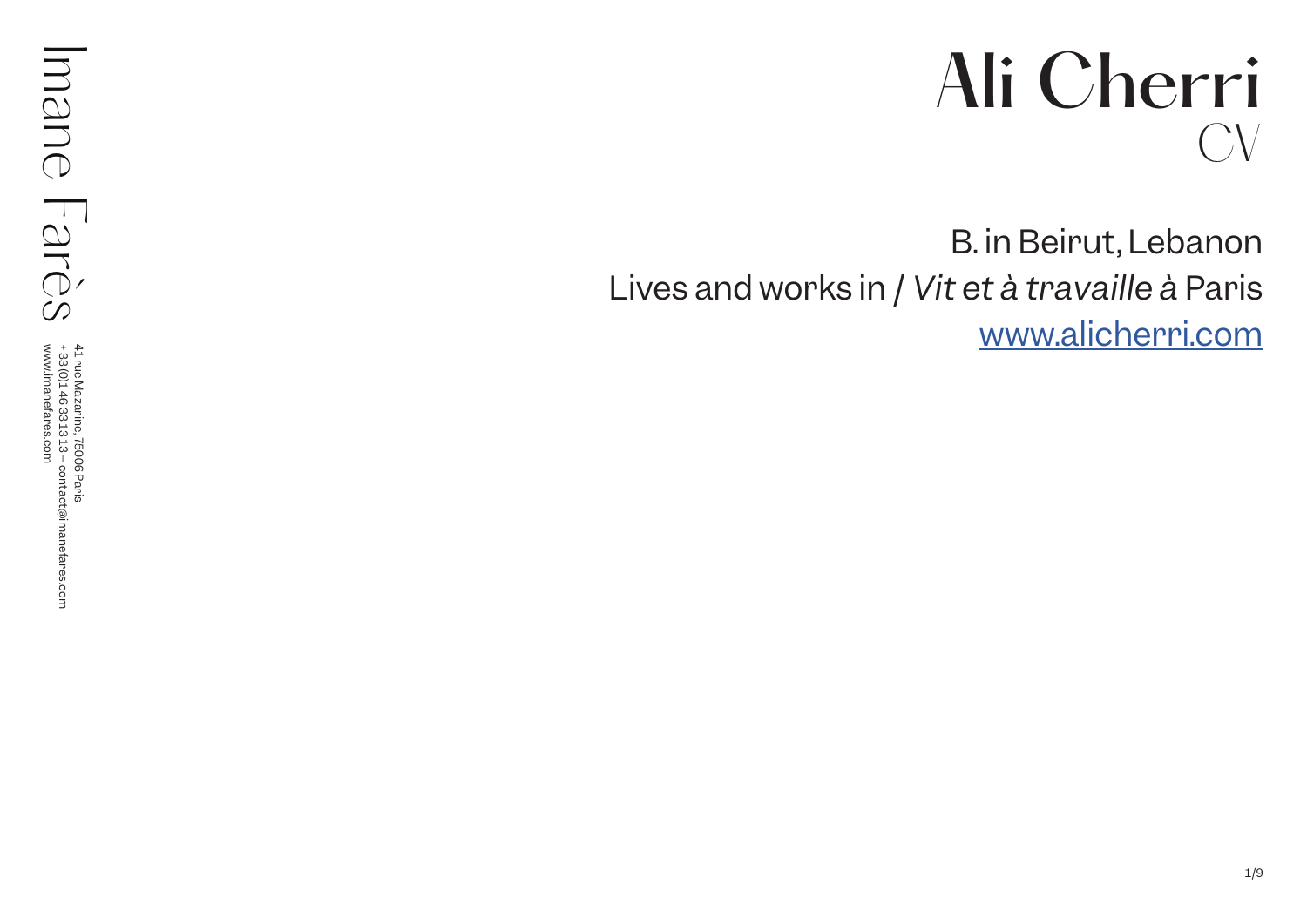## Ali Cherri CV

B. in Beirut, Lebanon Lives and works in / *Vit et à travaille à* Paris [www.alicherri.com](http://www.alicherri.com)



41 rue Mazarine, 75006 Paris<br>+33 (0)146 33 13 13 – contact@imanefares.com<br>www.imanefares.com 41 rue Mazarine, 75006 Paris (0)1 46 33 13 13 – contact@imanefares.com www.imanefares.com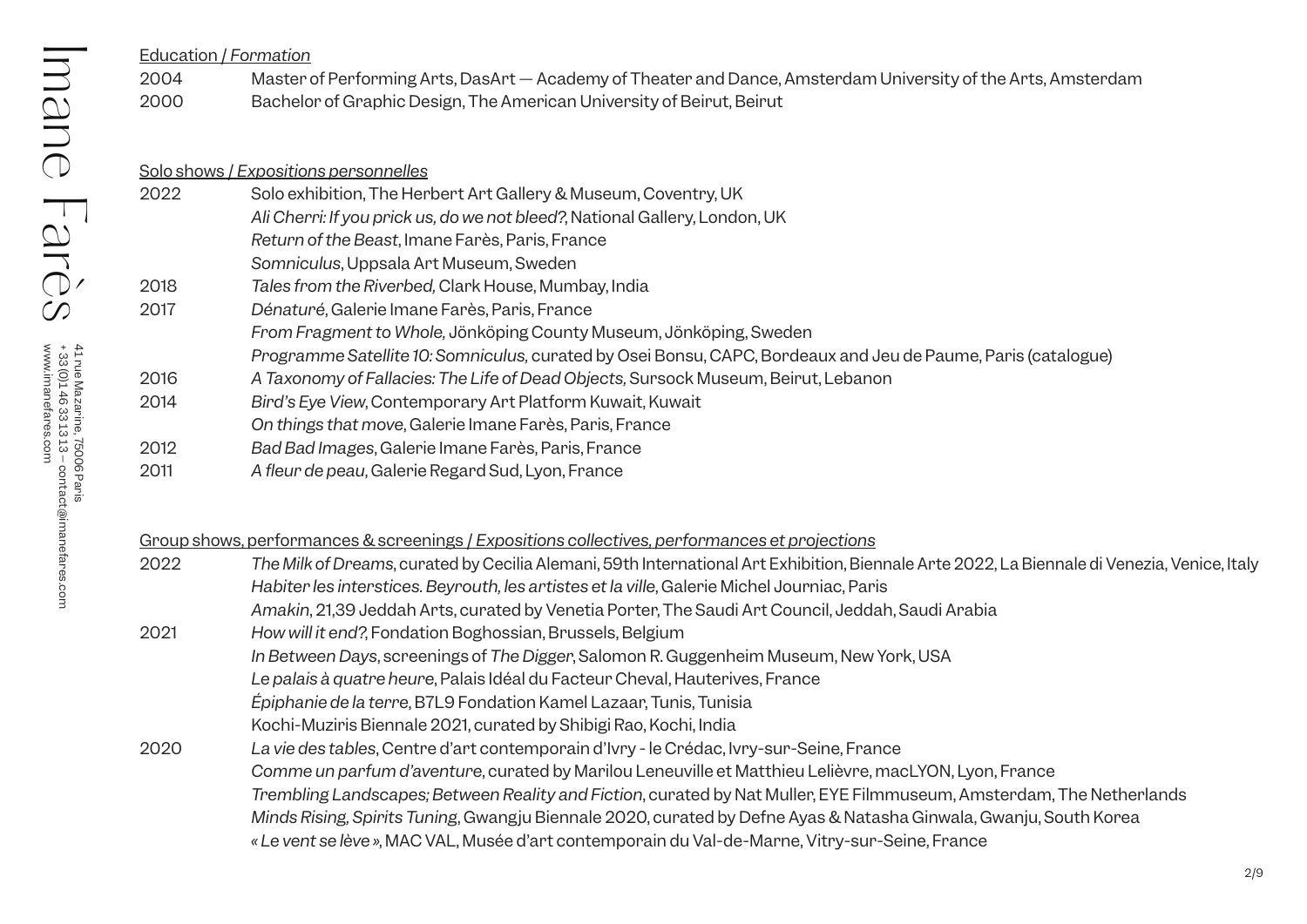|      | <b>Education / Formation</b>                                                                                                                 |
|------|----------------------------------------------------------------------------------------------------------------------------------------------|
| 2004 | Master of Performing Arts, DasArt - Academy of Theater and Dance, Amsterdam University of the Arts, Amsterdam                                |
| 2000 | Bachelor of Graphic Design, The American University of Beirut, Beirut                                                                        |
|      |                                                                                                                                              |
|      | Solo shows / Expositions personnelles                                                                                                        |
| 2022 | Solo exhibition, The Herbert Art Gallery & Museum, Coventry, UK                                                                              |
|      | Ali Cherri: If you prick us, do we not bleed?, National Gallery, London, UK                                                                  |
|      | Return of the Beast, Imane Farès, Paris, France                                                                                              |
|      | Somniculus, Uppsala Art Museum, Sweden                                                                                                       |
| 2018 | Tales from the Riverbed, Clark House, Mumbay, India                                                                                          |
| 2017 | Dénaturé, Galerie Imane Farès, Paris, France                                                                                                 |
|      | From Fragment to Whole, Jönköping County Museum, Jönköping, Sweden                                                                           |
|      | Programme Satellite 10: Somniculus, curated by Osei Bonsu, CAPC, Bordeaux and Jeu de Paume, Paris (catalogue)                                |
| 2016 | A Taxonomy of Fallacies: The Life of Dead Objects, Sursock Museum, Beirut, Lebanon                                                           |
| 2014 | Bird's Eye View, Contemporary Art Platform Kuwait, Kuwait                                                                                    |
|      | On things that move, Galerie Imane Farès, Paris, France                                                                                      |
| 2012 | Bad Bad Images, Galerie Imane Farès, Paris, France                                                                                           |
| 2011 | A fleur de peau, Galerie Regard Sud, Lyon, France                                                                                            |
|      |                                                                                                                                              |
|      | Group shows, performances & screenings / Expositions collectives, performances et projections                                                |
| 2022 | The Milk of Dreams, curated by Cecilia Alemani, 59th International Art Exhibition, Biennale Arte 2022, La Biennale di Venezia, Venice, Italy |
|      | Habiter les interstices. Beyrouth, les artistes et la ville, Galerie Michel Journiac, Paris                                                  |
|      | Amakin, 21,39 Jeddah Arts, curated by Venetia Porter, The Saudi Art Council, Jeddah, Saudi Arabia                                            |
| 2021 | How will it end?, Fondation Boghossian, Brussels, Belgium                                                                                    |
|      | In Between Days, screenings of The Digger, Salomon R. Guggenheim Museum, New York, USA                                                       |
|      | Le palais à quatre heure, Palais Idéal du Facteur Cheval, Hauterives, France                                                                 |
|      | Épiphanie de la terre, B7L9 Fondation Kamel Lazaar, Tunis, Tunisia                                                                           |
|      | Kochi-Muziris Biennale 2021, curated by Shibigi Rao, Kochi, India                                                                            |
| 2020 | La vie des tables, Centre d'art contemporain d'Ivry - le Crédac, Ivry-sur-Seine, France                                                      |
|      | Comme un parfum d'aventure, curated by Marilou Leneuville et Matthieu Lelièvre, macLYON, Lyon, France                                        |
|      | Trembling Landscapes; Between Reality and Fiction, curated by Nat Muller, EYE Filmmuseum, Amsterdam, The Netherlands                         |
|      | Minds Rising, Spirits Tuning, Gwangju Biennale 2020, curated by Defne Ayas & Natasha Ginwala, Gwanju, South Korea                            |
|      | « Le vent se lève », MAC VAL, Musée d'art contemporain du Val-de-Marne, Vitry-sur-Seine, France                                              |
|      |                                                                                                                                              |

41 rue Mazarine, 75006 Paris (0)1 46 33 13 13 – contact@imanefares.com www.imanefares.com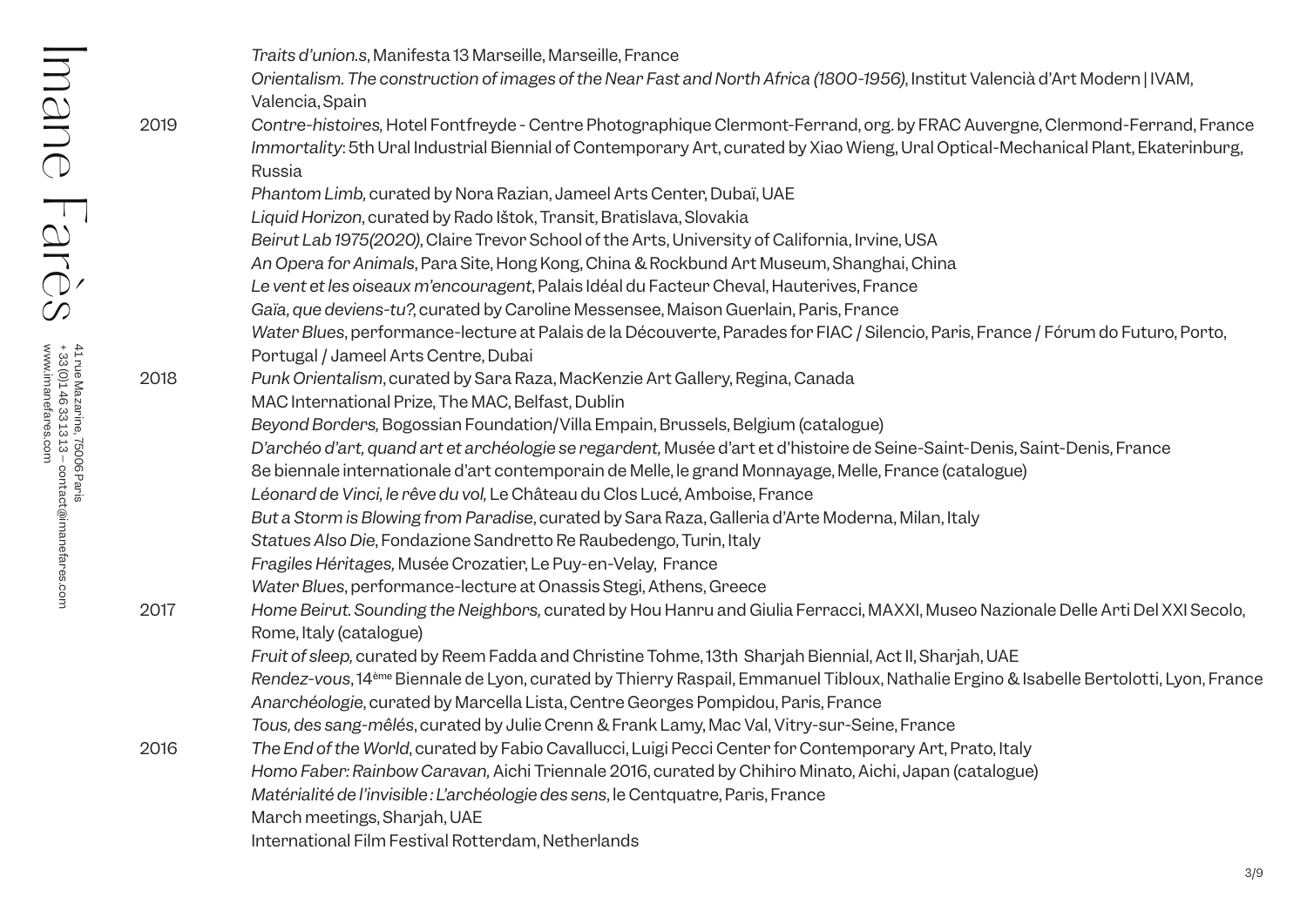|      | Traits d'union.s, Manifesta 13 Marseille, Marseille, France                                                                                                                                                                                                                  |
|------|------------------------------------------------------------------------------------------------------------------------------------------------------------------------------------------------------------------------------------------------------------------------------|
|      | Orientalism. The construction of images of the Near Fast and North Africa (1800-1956), Institut Valencià d'Art Modern   IVAM,<br>Valencia, Spain                                                                                                                             |
| 2019 | Contre-histoires, Hotel Fontfreyde - Centre Photographique Clermont-Ferrand, org. by FRAC Auvergne, Clermond-Ferrand, France<br>Immortality: 5th Ural Industrial Biennial of Contemporary Art, curated by Xiao Wieng, Ural Optical-Mechanical Plant, Ekaterinburg,<br>Russia |
|      | Phantom Limb, curated by Nora Razian, Jameel Arts Center, Dubaï, UAE                                                                                                                                                                                                         |
|      | Liquid Horizon, curated by Rado Ištok, Transit, Bratislava, Slovakia                                                                                                                                                                                                         |
|      | Beirut Lab 1975(2020), Claire Trevor School of the Arts, University of California, Irvine, USA                                                                                                                                                                               |
|      | An Opera for Animals, Para Site, Hong Kong, China & Rockbund Art Museum, Shanghai, China                                                                                                                                                                                     |
|      | Le vent et les oiseaux m'encouragent, Palais Idéal du Facteur Cheval, Hauterives, France                                                                                                                                                                                     |
|      | Gaïa, que deviens-tu?, curated by Caroline Messensee, Maison Guerlain, Paris, France                                                                                                                                                                                         |
|      | Water Blues, performance-lecture at Palais de la Découverte, Parades for FIAC / Silencio, Paris, France / Fórum do Futuro, Porto,<br>Portugal / Jameel Arts Centre, Dubai                                                                                                    |
| 2018 | Punk Orientalism, curated by Sara Raza, MacKenzie Art Gallery, Regina, Canada                                                                                                                                                                                                |
|      | MAC International Prize, The MAC, Belfast, Dublin                                                                                                                                                                                                                            |
|      | Beyond Borders, Bogossian Foundation/Villa Empain, Brussels, Belgium (catalogue)                                                                                                                                                                                             |
|      | D'archéo d'art, quand art et archéologie se regardent, Musée d'art et d'histoire de Seine-Saint-Denis, Saint-Denis, France                                                                                                                                                   |
|      | 8e biennale internationale d'art contemporain de Melle, le grand Monnayage, Melle, France (catalogue)                                                                                                                                                                        |
|      | Léonard de Vinci, le rêve du vol, Le Château du Clos Lucé, Amboise, France                                                                                                                                                                                                   |
|      | But a Storm is Blowing from Paradise, curated by Sara Raza, Galleria d'Arte Moderna, Milan, Italy                                                                                                                                                                            |
|      | Statues Also Die, Fondazione Sandretto Re Raubedengo, Turin, Italy                                                                                                                                                                                                           |
|      | Fragiles Héritages, Musée Crozatier, Le Puy-en-Velay, France                                                                                                                                                                                                                 |
|      | Water Blues, performance-lecture at Onassis Stegi, Athens, Greece                                                                                                                                                                                                            |
| 2017 | Home Beirut. Sounding the Neighbors, curated by Hou Hanru and Giulia Ferracci, MAXXI, Museo Nazionale Delle Arti Del XXI Secolo,                                                                                                                                             |
|      | Rome, Italy (catalogue)                                                                                                                                                                                                                                                      |
|      | Fruit of sleep, curated by Reem Fadda and Christine Tohme, 13th Sharjah Biennial, Act II, Sharjah, UAE                                                                                                                                                                       |
|      | Rendez-vous, 14 <sup>ème</sup> Biennale de Lyon, curated by Thierry Raspail, Emmanuel Tibloux, Nathalie Ergino & Isabelle Bertolotti, Lyon, France<br>Anarchéologie, curated by Marcella Lista, Centre Georges Pompidou, Paris, France                                       |
|      | Tous, des sang-mêlés, curated by Julie Crenn & Frank Lamy, Mac Val, Vitry-sur-Seine, France                                                                                                                                                                                  |
| 2016 | The End of the World, curated by Fabio Cavallucci, Luigi Pecci Center for Contemporary Art, Prato, Italy                                                                                                                                                                     |
|      | Homo Faber: Rainbow Caravan, Aichi Triennale 2016, curated by Chihiro Minato, Aichi, Japan (catalogue)                                                                                                                                                                       |
|      | Matérialité de l'invisible : L'archéologie des sens, le Centquatre, Paris, France                                                                                                                                                                                            |
|      | March meetings, Sharjah, UAE                                                                                                                                                                                                                                                 |
|      | International Film Festival Rotterdam, Netherlands                                                                                                                                                                                                                           |
|      |                                                                                                                                                                                                                                                                              |

Imane Farès + 33

41 rue Mazarine, 75006 Paris (0)1 46 33 13 13 – contact@imanefares.com www.imanefares.com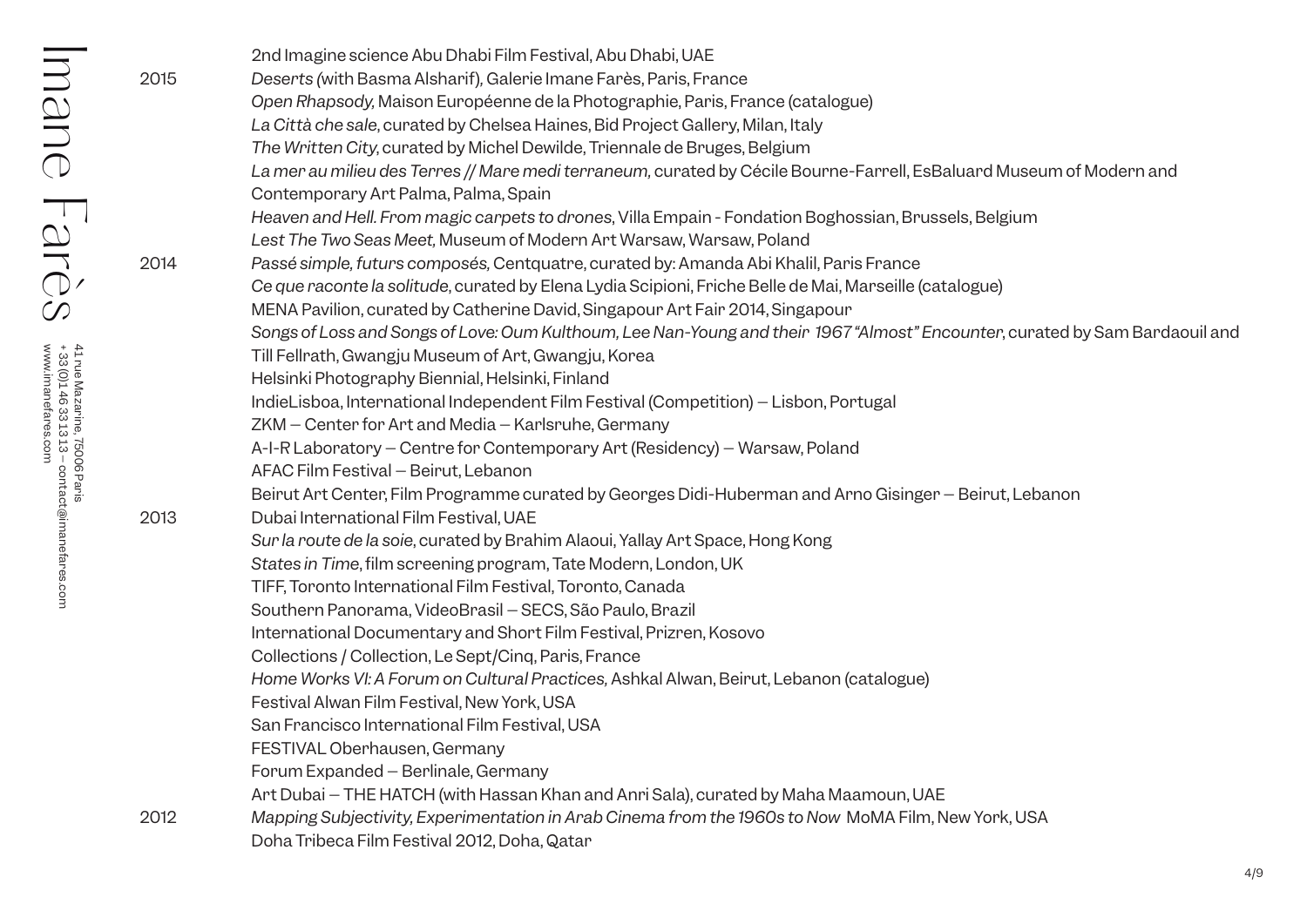| mane                                                                                                | 2015 | 2nd Imagine science Abu Dhabi Film Festival, Abu Dhabi, UAE<br>Deserts (with Basma Alsharif), Galerie Imane Farès, Paris, France<br>Open Rhapsody, Maison Européenne de la Photographie, Paris, France (catalogue) |
|-----------------------------------------------------------------------------------------------------|------|--------------------------------------------------------------------------------------------------------------------------------------------------------------------------------------------------------------------|
|                                                                                                     |      | La Città che sale, curated by Chelsea Haines, Bid Project Gallery, Milan, Italy                                                                                                                                    |
|                                                                                                     |      | The Written City, curated by Michel Dewilde, Triennale de Bruges, Belgium                                                                                                                                          |
|                                                                                                     |      | La mer au milieu des Terres // Mare medi terraneum, curated by Cécile Bourne-Farrell, EsBaluard Museum of Modern and                                                                                               |
|                                                                                                     |      | Contemporary Art Palma, Palma, Spain                                                                                                                                                                               |
| Farès                                                                                               |      | Heaven and Hell. From magic carpets to drones, Villa Empain - Fondation Boghossian, Brussels, Belgium                                                                                                              |
|                                                                                                     |      | Lest The Two Seas Meet, Museum of Modern Art Warsaw, Warsaw, Poland                                                                                                                                                |
|                                                                                                     | 2014 | Passé simple, futurs composés, Centquatre, curated by: Amanda Abi Khalil, Paris France                                                                                                                             |
|                                                                                                     |      | Ce que raconte la solitude, curated by Elena Lydia Scipioni, Friche Belle de Mai, Marseille (catalogue)                                                                                                            |
|                                                                                                     |      | MENA Pavilion, curated by Catherine David, Singapour Art Fair 2014, Singapour                                                                                                                                      |
|                                                                                                     |      | Songs of Loss and Songs of Love: Oum Kulthoum, Lee Nan-Young and their 1967 "Almost" Encounter, curated by Sam Bardaouil and                                                                                       |
| 41 rue Mazarine, 75006 Paris<br>+ 33 (0)146 33 13 13 – contact@imanefares.com<br>www.imanefares.com |      | Till Fellrath, Gwangju Museum of Art, Gwangju, Korea                                                                                                                                                               |
|                                                                                                     |      | Helsinki Photography Biennial, Helsinki, Finland                                                                                                                                                                   |
|                                                                                                     |      | IndieLisboa, International Independent Film Festival (Competition) - Lisbon, Portugal                                                                                                                              |
|                                                                                                     |      | ZKM - Center for Art and Media - Karlsruhe, Germany                                                                                                                                                                |
|                                                                                                     |      | A-I-R Laboratory - Centre for Contemporary Art (Residency) - Warsaw, Poland                                                                                                                                        |
|                                                                                                     |      | AFAC Film Festival - Beirut, Lebanon                                                                                                                                                                               |
|                                                                                                     |      | Beirut Art Center, Film Programme curated by Georges Didi-Huberman and Arno Gisinger – Beirut, Lebanon                                                                                                             |
|                                                                                                     | 2013 | Dubai International Film Festival, UAE                                                                                                                                                                             |
|                                                                                                     |      | Sur la route de la soie, curated by Brahim Alaoui, Yallay Art Space, Hong Kong                                                                                                                                     |
|                                                                                                     |      | States in Time, film screening program, Tate Modern, London, UK                                                                                                                                                    |
|                                                                                                     |      | TIFF, Toronto International Film Festival, Toronto, Canada                                                                                                                                                         |
|                                                                                                     |      | Southern Panorama, VideoBrasil - SECS, São Paulo, Brazil                                                                                                                                                           |
|                                                                                                     |      | International Documentary and Short Film Festival, Prizren, Kosovo                                                                                                                                                 |
|                                                                                                     |      | Collections / Collection, Le Sept/Cinq, Paris, France                                                                                                                                                              |
|                                                                                                     |      | Home Works VI: A Forum on Cultural Practices, Ashkal Alwan, Beirut, Lebanon (catalogue)                                                                                                                            |
|                                                                                                     |      | Festival Alwan Film Festival, New York, USA                                                                                                                                                                        |
|                                                                                                     |      | San Francisco International Film Festival, USA                                                                                                                                                                     |
|                                                                                                     |      | FESTIVAL Oberhausen, Germany                                                                                                                                                                                       |
|                                                                                                     |      | Forum Expanded - Berlinale, Germany                                                                                                                                                                                |
|                                                                                                     |      | Art Dubai - THE HATCH (with Hassan Khan and Anri Sala), curated by Maha Maamoun, UAE                                                                                                                               |
|                                                                                                     | 2012 | Mapping Subjectivity, Experimentation in Arab Cinema from the 1960s to Now MoMA Film, New York, USA                                                                                                                |
|                                                                                                     |      | Doha Tribeca Film Festival 2012, Doha, Qatar                                                                                                                                                                       |

4/9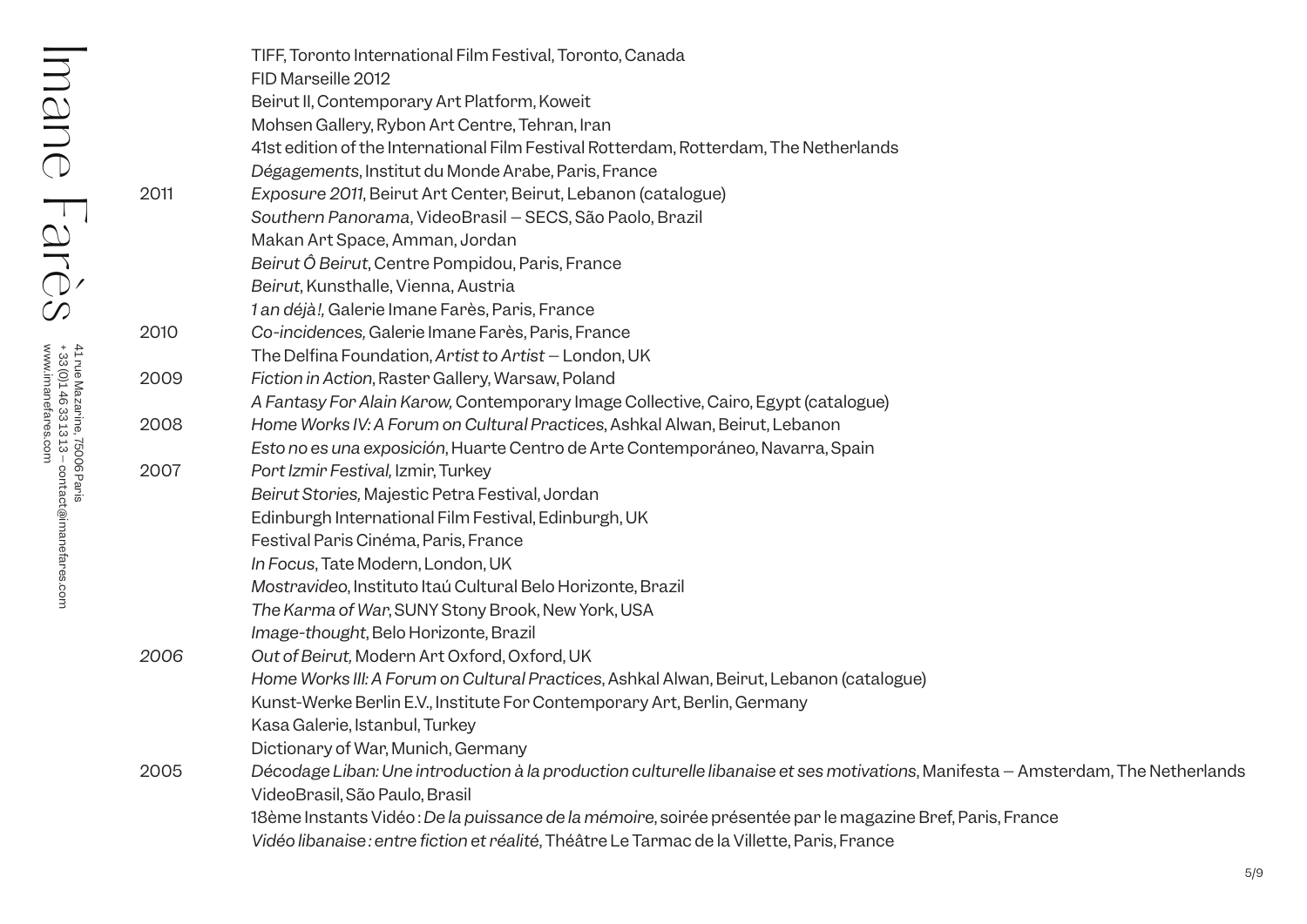|      | TIFF, Toronto International Film Festival, Toronto, Canada                                                                       |
|------|----------------------------------------------------------------------------------------------------------------------------------|
|      | FID Marseille 2012                                                                                                               |
|      | Beirut II, Contemporary Art Platform, Koweit                                                                                     |
|      | Mohsen Gallery, Rybon Art Centre, Tehran, Iran                                                                                   |
|      | 41st edition of the International Film Festival Rotterdam, Rotterdam, The Netherlands                                            |
|      | Dégagements, Institut du Monde Arabe, Paris, France                                                                              |
| 2011 | Exposure 2011, Beirut Art Center, Beirut, Lebanon (catalogue)                                                                    |
|      | Southern Panorama, VideoBrasil - SECS, São Paolo, Brazil                                                                         |
|      | Makan Art Space, Amman, Jordan                                                                                                   |
|      | Beirut Ô Beirut, Centre Pompidou, Paris, France                                                                                  |
|      | Beirut, Kunsthalle, Vienna, Austria                                                                                              |
|      | 1 an déjà!, Galerie Imane Farès, Paris, France                                                                                   |
| 2010 | Co-incidences, Galerie Imane Farès, Paris, France                                                                                |
|      | The Delfina Foundation, Artist to Artist - London, UK                                                                            |
| 2009 | Fiction in Action, Raster Gallery, Warsaw, Poland                                                                                |
|      | A Fantasy For Alain Karow, Contemporary Image Collective, Cairo, Egypt (catalogue)                                               |
| 2008 | Home Works IV: A Forum on Cultural Practices, Ashkal Alwan, Beirut, Lebanon                                                      |
|      | Esto no es una exposición, Huarte Centro de Arte Contemporáneo, Navarra, Spain                                                   |
| 2007 | Port Izmir Festival, Izmir, Turkey                                                                                               |
|      | Beirut Stories, Majestic Petra Festival, Jordan                                                                                  |
|      | Edinburgh International Film Festival, Edinburgh, UK                                                                             |
|      | Festival Paris Cinéma, Paris, France                                                                                             |
|      | In Focus, Tate Modern, London, UK                                                                                                |
|      | Mostravideo, Instituto Itaú Cultural Belo Horizonte, Brazil                                                                      |
|      | The Karma of War, SUNY Stony Brook, New York, USA                                                                                |
|      | Image-thought, Belo Horizonte, Brazil                                                                                            |
| 2006 | Out of Beirut, Modern Art Oxford, Oxford, UK                                                                                     |
|      | Home Works III: A Forum on Cultural Practices, Ashkal Alwan, Beirut, Lebanon (catalogue)                                         |
|      | Kunst-Werke Berlin E.V., Institute For Contemporary Art, Berlin, Germany                                                         |
|      | Kasa Galerie, Istanbul, Turkey                                                                                                   |
|      | Dictionary of War, Munich, Germany                                                                                               |
| 2005 | Décodage Liban: Une introduction à la production culturelle libanaise et ses motivations, Manifesta – Amsterdam, The Netherlands |
|      | VideoBrasil, São Paulo, Brasil                                                                                                   |
|      | 18ème Instants Vidéo : De la puissance de la mémoire, soirée présentée par le magazine Bref, Paris, France                       |
|      | Vidéo libanaise : entre fiction et réalité, Théâtre Le Tarmac de la Villette, Paris, France                                      |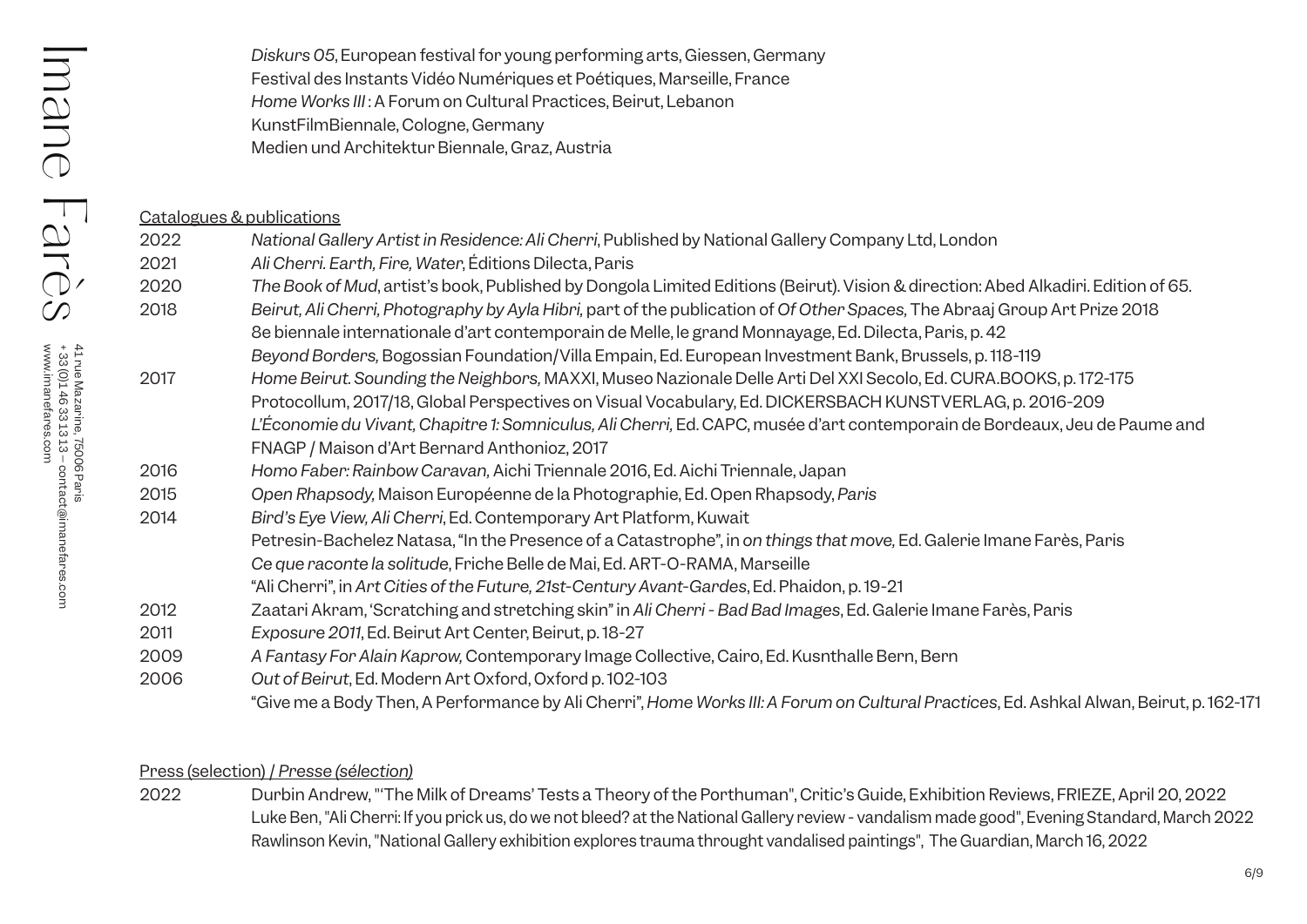|      | Festival des Instants Vidéo Numériques et Poétiques, Marseille, France<br>Home Works III: A Forum on Cultural Practices, Beirut, Lebanon |
|------|------------------------------------------------------------------------------------------------------------------------------------------|
|      | KunstFilmBiennale, Cologne, Germany                                                                                                      |
|      | Medien und Architektur Biennale, Graz, Austria                                                                                           |
|      |                                                                                                                                          |
|      | Catalogues & publications                                                                                                                |
| 2022 | National Gallery Artist in Residence: Ali Cherri, Published by National Gallery Company Ltd, London                                      |
| 2021 | Ali Cherri. Earth, Fire, Water, Éditions Dilecta, Paris                                                                                  |
| 2020 | The Book of Mud, artist's book, Published by Dongola Limited Editions (Beirut). Vision & direction: Abed Alkadiri. Edition of 65.        |
| 2018 | Beirut, Ali Cherri, Photography by Ayla Hibri, part of the publication of Of Other Spaces, The Abraaj Group Art Prize 2018               |
|      | 8e biennale internationale d'art contemporain de Melle, le grand Monnayage, Ed. Dilecta, Paris, p. 42                                    |
|      | Beyond Borders, Bogossian Foundation/Villa Empain, Ed. European Investment Bank, Brussels, p. 118-119                                    |
| 2017 | Home Beirut. Sounding the Neighbors, MAXXI, Museo Nazionale Delle Arti Del XXI Secolo, Ed. CURA.BOOKS, p. 172-175                        |
|      | Protocollum, 2017/18, Global Perspectives on Visual Vocabulary, Ed. DICKERSBACH KUNSTVERLAG, p. 2016-209                                 |
|      | L'Économie du Vivant, Chapitre 1: Somniculus, Ali Cherri, Ed. CAPC, musée d'art contemporain de Bordeaux, Jeu de Paume and               |
|      | FNAGP / Maison d'Art Bernard Anthonioz, 2017                                                                                             |
| 2016 | Homo Faber: Rainbow Caravan, Aichi Triennale 2016, Ed. Aichi Triennale, Japan                                                            |
| 2015 | Open Rhapsody, Maison Européenne de la Photographie, Ed. Open Rhapsody, Paris                                                            |
| 2014 | Bird's Eye View, Ali Cherri, Ed. Contemporary Art Platform, Kuwait                                                                       |
|      | Petresin-Bachelez Natasa, "In the Presence of a Catastrophe", in on things that move, Ed. Galerie Imane Farès, Paris                     |
|      | Ce que raconte la solitude, Friche Belle de Mai, Ed. ART-O-RAMA, Marseille                                                               |
|      | "Ali Cherri", in Art Cities of the Future, 21st-Century Avant-Gardes, Ed. Phaidon, p. 19-21                                              |
| 2012 | Zaatari Akram, 'Scratching and stretching skin" in Ali Cherri - Bad Bad Images, Ed. Galerie Imane Farès, Paris                           |
| 2011 | Exposure 2011, Ed. Beirut Art Center, Beirut, p. 18-27                                                                                   |
| 2009 | A Fantasy For Alain Kaprow, Contemporary Image Collective, Cairo, Ed. Kusnthalle Bern, Bern                                              |
| 2006 | Out of Beirut, Ed. Modern Art Oxford, Oxford p. 102-103                                                                                  |
|      | "Give me a Body Then, A Performance by Ali Cherri", Home Works III: A Forum on Cultural Practices, Ed. Ashkal Alwan, Beirut, p. 162-171  |

*Diskurs 05*, European festival for young performing arts, Giessen, Germany

## Press (selection) / *Presse (sélection)*

2022 Durbin Andrew, "'The Milk of Dreams' Tests a Theory of the Porthuman", Critic's Guide, Exhibition Reviews, FRIEZE, April 20, 2022 Luke Ben, "Ali Cherri: If you prick us, do we not bleed? at the National Gallery review - vandalism made good", Evening Standard, March 2022 Rawlinson Kevin, "National Gallery exhibition explores trauma throught vandalised paintings", The Guardian, March 16, 2022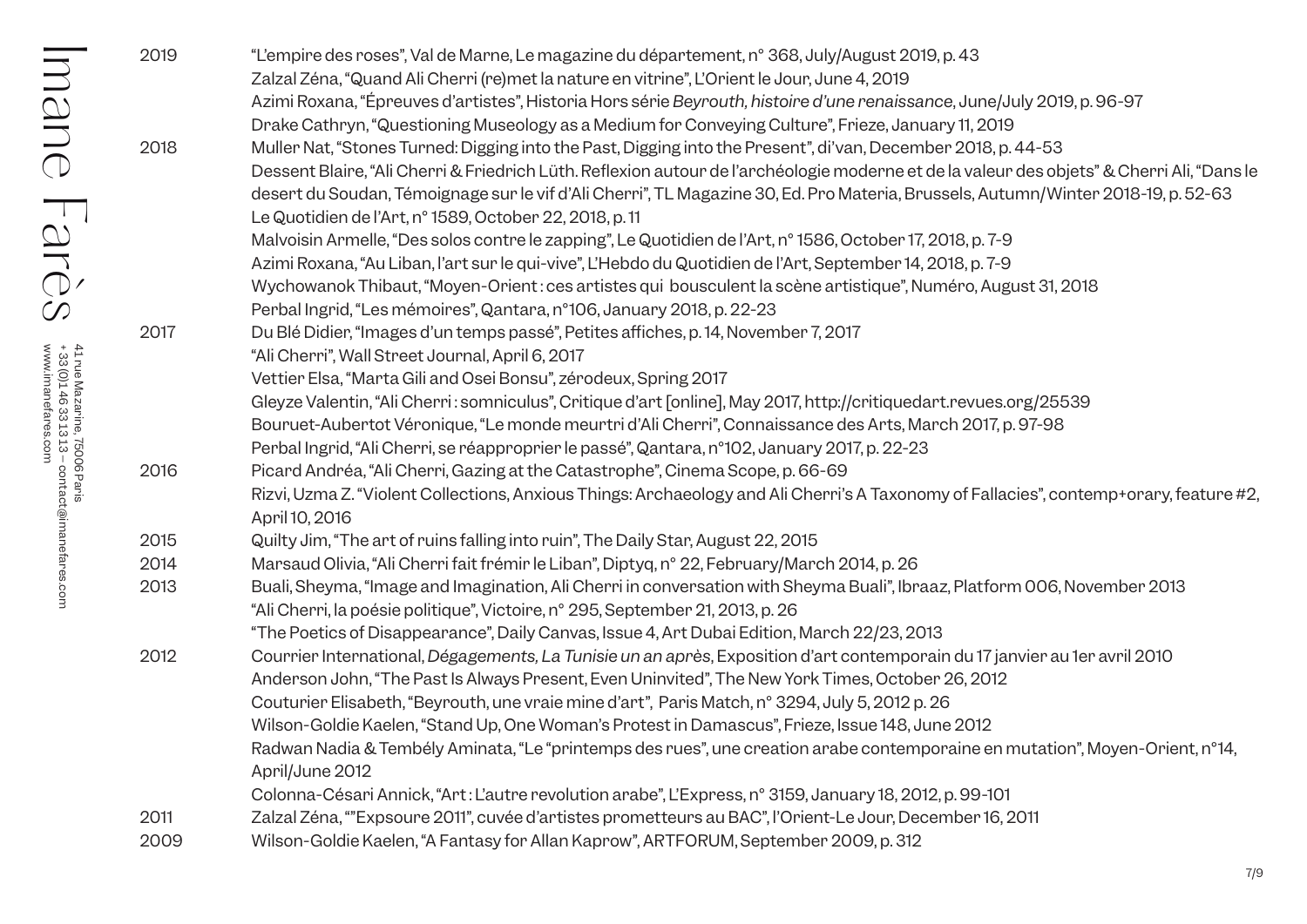| 2019 | "L'empire des roses", Val de Marne, Le magazine du département, n° 368, July/August 2019, p. 43                                            |
|------|--------------------------------------------------------------------------------------------------------------------------------------------|
|      | Zalzal Zéna, "Quand Ali Cherri (re)met la nature en vitrine", L'Orient le Jour, June 4, 2019                                               |
|      | Azimi Roxana, "Épreuves d'artistes", Historia Hors série Beyrouth, histoire d'une renaissance, June/July 2019, p. 96-97                    |
|      | Drake Cathryn, "Questioning Museology as a Medium for Conveying Culture", Frieze, January 11, 2019                                         |
| 2018 | Muller Nat, "Stones Turned: Digging into the Past, Digging into the Present", di'van, December 2018, p. 44-53                              |
|      | Dessent Blaire, "Ali Cherri & Friedrich Lüth. Reflexion autour de l'archéologie moderne et de la valeur des objets" & Cherri Ali, "Dans le |
|      | desert du Soudan, Témoignage sur le vif d'Ali Cherri", TL Magazine 30, Ed. Pro Materia, Brussels, Autumn/Winter 2018-19, p. 52-63          |
|      | Le Quotidien de l'Art, n° 1589, October 22, 2018, p. 11                                                                                    |
|      | Malvoisin Armelle, "Des solos contre le zapping", Le Quotidien de l'Art, n° 1586, October 17, 2018, p. 7-9                                 |
|      | Azimi Roxana, "Au Liban, l'art sur le qui-vive", L'Hebdo du Quotidien de l'Art, September 14, 2018, p. 7-9                                 |
|      | Wychowanok Thibaut, "Moyen-Orient: ces artistes qui bousculent la scène artistique", Numéro, August 31, 2018                               |
|      | Perbal Ingrid, "Les mémoires", Qantara, n°106, January 2018, p. 22-23                                                                      |
| 2017 | Du Blé Didier, "Images d'un temps passé", Petites affiches, p. 14, November 7, 2017                                                        |
|      | "Ali Cherri", Wall Street Journal, April 6, 2017                                                                                           |
|      | Vettier Elsa, "Marta Gili and Osei Bonsu", zérodeux, Spring 2017                                                                           |
|      | Gleyze Valentin, "Ali Cherri: somniculus", Critique d'art [online], May 2017, http://critiquedart.revues.org/25539                         |
|      | Bouruet-Aubertot Véronique, "Le monde meurtri d'Ali Cherri", Connaissance des Arts, March 2017, p. 97-98                                   |
|      | Perbal Ingrid, "Ali Cherri, se réapproprier le passé", Qantara, n°102, January 2017, p. 22-23                                              |
| 2016 | Picard Andréa, "Ali Cherri, Gazing at the Catastrophe", Cinema Scope, p. 66-69                                                             |
|      | Rizvi, Uzma Z. "Violent Collections, Anxious Things: Archaeology and Ali Cherri's A Taxonomy of Fallacies", contemp+orary, feature #2,     |
|      | April 10, 2016                                                                                                                             |
| 2015 | Quilty Jim, "The art of ruins falling into ruin", The Daily Star, August 22, 2015                                                          |
| 2014 | Marsaud Olivia, "Ali Cherri fait frémir le Liban", Diptyq, n° 22, February/March 2014, p. 26                                               |
| 2013 | Buali, Sheyma, "Image and Imagination, Ali Cherri in conversation with Sheyma Buali", Ibraaz, Platform 006, November 2013                  |
|      | "Ali Cherri, la poésie politique", Victoire, n° 295, September 21, 2013, p. 26                                                             |
|      | "The Poetics of Disappearance", Daily Canvas, Issue 4, Art Dubai Edition, March 22/23, 2013                                                |
| 2012 | Courrier International, Dégagements, La Tunisie un an après, Exposition d'art contemporain du 17 janvier au 1er avril 2010                 |
|      | Anderson John, "The Past Is Always Present, Even Uninvited", The New York Times, October 26, 2012                                          |
|      | Couturier Elisabeth, "Beyrouth, une vraie mine d'art", Paris Match, n° 3294, July 5, 2012 p. 26                                            |
|      | Wilson-Goldie Kaelen, "Stand Up, One Woman's Protest in Damascus", Frieze, Issue 148, June 2012                                            |
|      | Radwan Nadia & Tembély Aminata, "Le "printemps des rues", une creation arabe contemporaine en mutation", Moyen-Orient, n°14,               |
|      | April/June 2012                                                                                                                            |
|      | Colonna-Césari Annick, "Art: L'autre revolution arabe", L'Express, n° 3159, January 18, 2012, p. 99-101                                    |
| 2011 | Zalzal Zéna, ""Expsoure 2011", cuvée d'artistes prometteurs au BAC", l'Orient-Le Jour, December 16, 2011                                   |
| 2009 | Wilson-Goldie Kaelen, "A Fantasy for Allan Kaprow", ARTFORUM, September 2009, p. 312                                                       |

Imane Farès  $\operatorname{Ind}_{\operatorname{Superspace}}(S) \cong \operatorname{Ind}_{\operatorname{Superspace}}(S) \cong \operatorname{Ind}_{\operatorname{Superspace}}(S) \cong \operatorname{Ind}_{\operatorname{Superspace}}(S) \cong \operatorname{Ind}_{\operatorname{Superspace}}(S) \cong \operatorname{Ind}_{\operatorname{Superspace}}(S) \cong \operatorname{Ind}_{\operatorname{Superspace}}(S) \cong \operatorname{Ind}_{\operatorname{Superspace}}(S) \cong \operatorname{Ind}_{\operatorname{Superspace}}(S) \cong \operatorname{Ind}_{\operatorname{Superspace}}(S) \cong \operatorname{Ind}_{\operatorname{Superspace}}(S) \cong$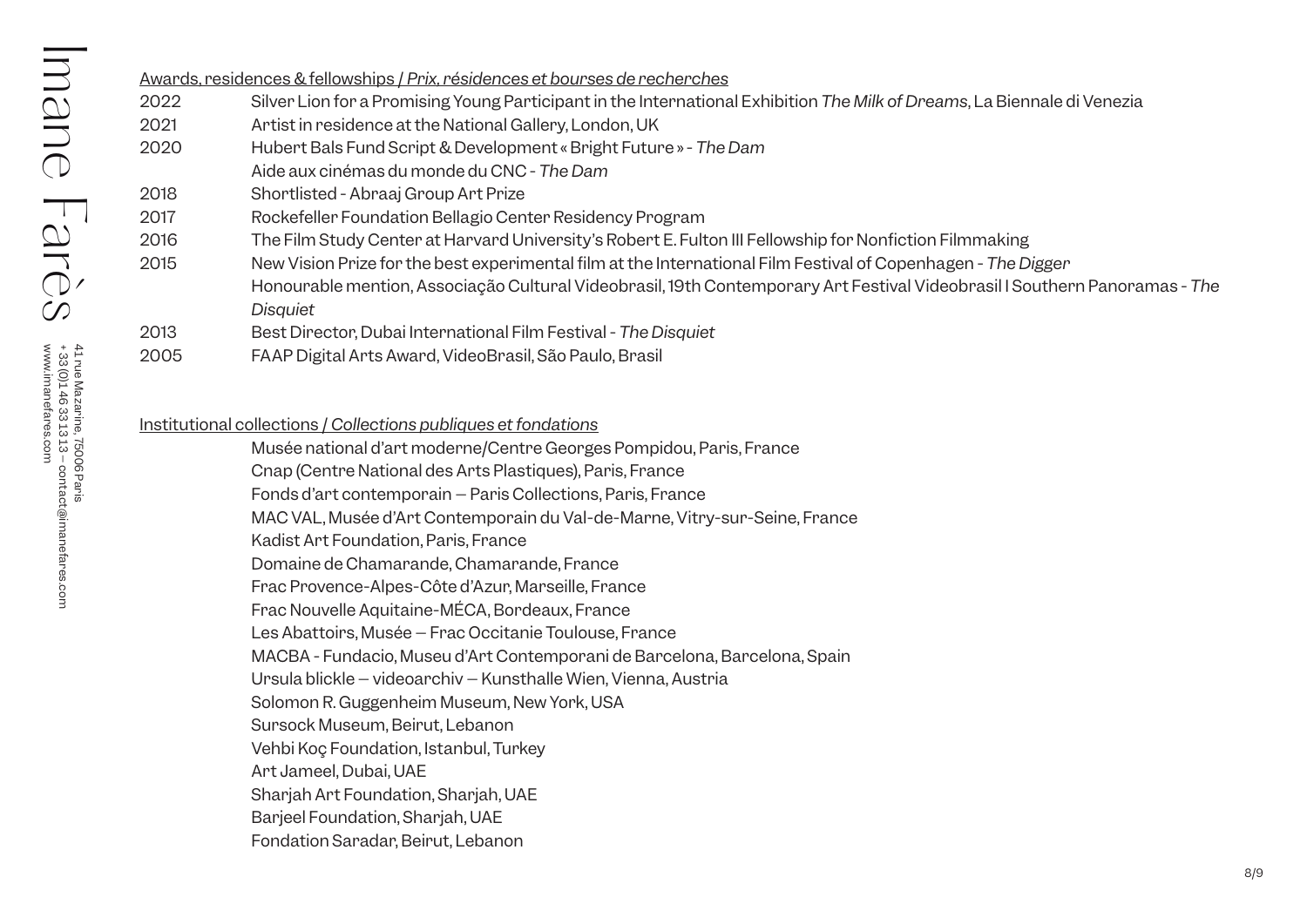41 rue Mazarine, 75006 Paris

(0)1 46 33 13 13 – contact@imanefares.com

www.imanefares.com

|      | <u>Awards, residences &amp; fellowships / Prix, résidences et bourses de recherches</u>                                    |
|------|----------------------------------------------------------------------------------------------------------------------------|
| 2022 | Silver Lion for a Promising Young Participant in the International Exhibition The Milk of Dreams, La Biennale di Venezia   |
| 2021 | Artist in residence at the National Gallery, London, UK                                                                    |
| 2020 | Hubert Bals Fund Script & Development « Bright Future » - The Dam                                                          |
|      | Aide aux cinémas du monde du CNC - The Dam                                                                                 |
| 2018 | Shortlisted - Abraaj Group Art Prize                                                                                       |
| 2017 | Rockefeller Foundation Bellagio Center Residency Program                                                                   |
| 2016 | The Film Study Center at Harvard University's Robert E. Fulton III Fellowship for Nonfiction Filmmaking                    |
| 2015 | New Vision Prize for the best experimental film at the International Film Festival of Copenhagen - The Digger              |
|      | Honourable mention, Associação Cultural Videobrasil, 19th Contemporary Art Festival Videobrasil I Southern Panoramas - The |
|      | <b>Disquiet</b>                                                                                                            |
| 2013 | Best Director, Dubai International Film Festival - The Disquiet                                                            |
| 2005 | FAAP Digital Arts Award, VideoBrasil, São Paulo, Brasil                                                                    |
|      |                                                                                                                            |

## Institutional collections / *Collections publiques et fondations*

Musée national d'art moderne/Centre Georges Pompidou, Paris, France

Cnap (Centre National des Arts Plastiques), Paris, France

Fonds d'art contemporain – Paris Collections, Paris, France

MAC VAL, Musée d'Art Contemporain du Val-de-Marne, Vitry-sur-Seine, France

Kadist Art Foundation, Paris, France

Domaine de Chamarande, Chamarande, France

Frac Provence-Alpes-Côte d'Azur, Marseille, France

Frac Nouvelle Aquitaine-MÉCA, Bordeaux, France

Les Abattoirs, Musée – Frac Occitanie Toulouse, France

MACBA - Fundacio, Museu d'Art Contemporani de Barcelona, Barcelona, Spain

Ursula blickle – videoarchiv – Kunsthalle Wien, Vienna, Austria

Solomon R. Guggenheim Museum, New York, USA

Sursock Museum, Beirut, Lebanon

Vehbi Koç Foundation, Istanbul, Turkey

Art Jameel, Dubai, UAE

Sharjah Art Foundation, Sharjah, UAE

Barjeel Foundation, Sharjah, UAE

Fondation Saradar, Beirut, Lebanon